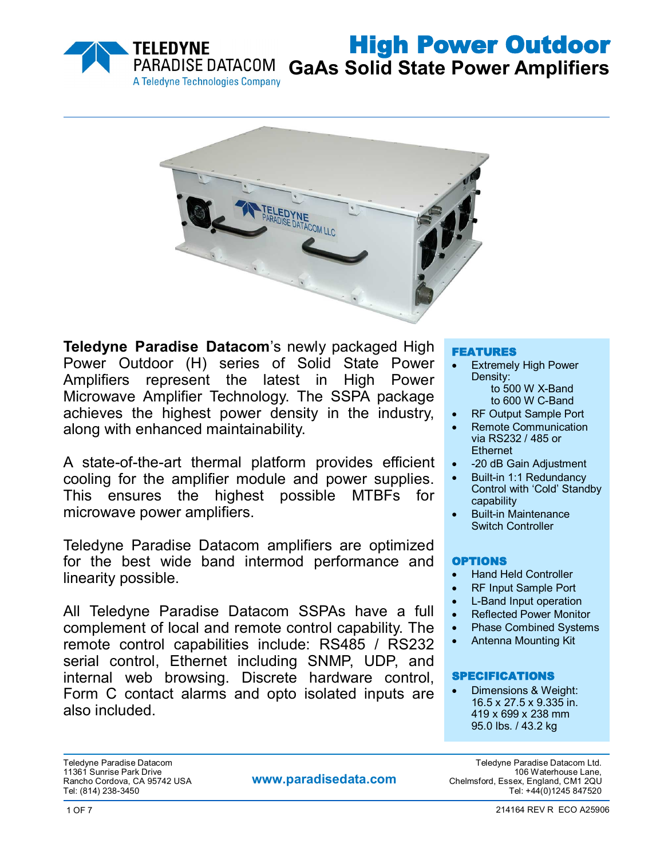

**GaAs Solid State Power Amplifiers**



**Teledyne Paradise Datacom**'s newly packaged High Power Outdoor (H) series of Solid State Power Amplifiers represent the latest in High Power Microwave Amplifier Technology. The SSPA package achieves the highest power density in the industry, along with enhanced maintainability.

A state-of-the-art thermal platform provides efficient cooling for the amplifier module and power supplies. This ensures the highest possible MTBFs for microwave power amplifiers.

Teledyne Paradise Datacom amplifiers are optimized for the best wide band intermod performance and linearity possible.

All Teledyne Paradise Datacom SSPAs have a full complement of local and remote control capability. The remote control capabilities include: RS485 / RS232 serial control, Ethernet including SNMP, UDP, and internal web browsing. Discrete hardware control, Form C contact alarms and opto isolated inputs are also included.

#### FEATURES

- Extremely High Power Density: to 500 W X-Band
	- to 600 W C-Band
- RF Output Sample Port
- Remote Communication via RS232 / 485 or **Ethernet**
- -20 dB Gain Adjustment
- Built-in 1:1 Redundancy Control with 'Cold' Standby capability
- Built-in Maintenance Switch Controller

#### OPTIONS

- Hand Held Controller
- RF Input Sample Port
- L-Band Input operation
- Reflected Power Monitor
- Phase Combined Systems
- Antenna Mounting Kit

#### SPECIFICATIONS

 Dimensions & Weight: 16.5 x 27.5 x 9.335 in. 419 x 699 x 238 mm 95.0 lbs. / 43.2 kg

Teledyne Paradise Datacom Teledyne Paradise Datacom Ltd.

**www.paradisedata.com**

.11361 Sunrise Park Drive<br>Rancho Cordova, CA 95742 USA **106 WWW.paradisedata.com** Chelmsford, Essex, England. CM1 2QU Rancho Cordova, CA 95742 USA **Chelmston Cordova, CA 95742 USA** Chelmsford, Essex, England, CM1 2QU<br>Tel: (814) 238-3450 Tel: +44(0)1245 847520 Tel: +44(0)1245 847520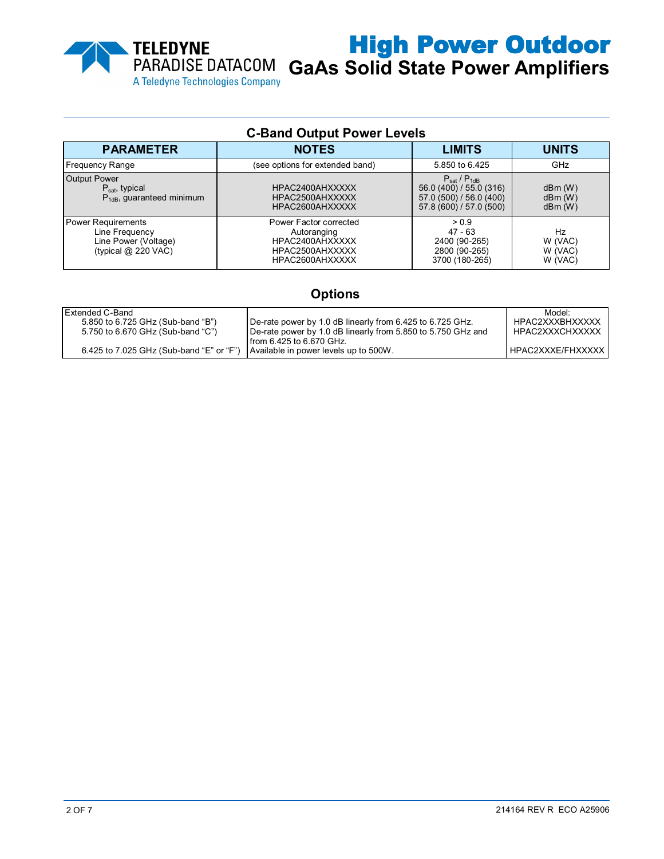

**GaAs Solid State Power Amplifiers**

| <b>C-Band Output Power Levels</b>                                                     |                                                                                                |                                                                                                                  |                                     |  |
|---------------------------------------------------------------------------------------|------------------------------------------------------------------------------------------------|------------------------------------------------------------------------------------------------------------------|-------------------------------------|--|
| <b>PARAMETER</b>                                                                      | <b>NOTES</b>                                                                                   | <b>LIMITS</b>                                                                                                    | <b>UNITS</b>                        |  |
| <b>Frequency Range</b>                                                                | (see options for extended band)                                                                | 5.850 to 6.425                                                                                                   | GHz                                 |  |
| <b>Output Power</b><br>$P_{\text{sat}}$ , typical<br>$P_{1dB}$ , quaranteed minimum   | HPAC2400AHXXXXX<br>HPAC2500AHXXXXX<br>HPAC2600AHXXXXX                                          | $P_{\text{sat}}/P_{\text{1dB}}$<br>56.0 (400) / 55.0 (316)<br>57.0 (500) / 56.0 (400)<br>57.8 (600) / 57.0 (500) | dBm(W)<br>dBm(W)<br>dBm(W)          |  |
| Power Requirements<br>Line Frequency<br>Line Power (Voltage)<br>(typical $@$ 220 VAC) | Power Factor corrected<br>Autoranging<br>HPAC2400AHXXXXX<br>HPAC2500AHXXXXX<br>HPAC2600AHXXXXX | > 0.9<br>$47 - 63$<br>2400 (90-265)<br>2800 (90-265)<br>3700 (180-265)                                           | Hz<br>W (VAC)<br>W (VAC)<br>W (VAC) |  |

# **Options**

| Extended C-Band                          |                                                                | Model <sup>.</sup> |
|------------------------------------------|----------------------------------------------------------------|--------------------|
|                                          |                                                                |                    |
| 5.850 to 6.725 GHz (Sub-band "B")        | De-rate power by 1.0 dB linearly from 6.425 to 6.725 GHz.      | HPAC2XXXBHXXXXX    |
| 5.750 to 6.670 GHz (Sub-band "C")        | I De-rate power by 1.0 dB linearly from 5.850 to 5.750 GHz and | HPAC2XXXCHXXXXX    |
|                                          | from 6.425 to 6.670 GHz.                                       |                    |
| 6.425 to 7.025 GHz (Sub-band "E" or "F") | Available in power levels up to 500W.                          | HPAC2XXXE/FHXXXXX  |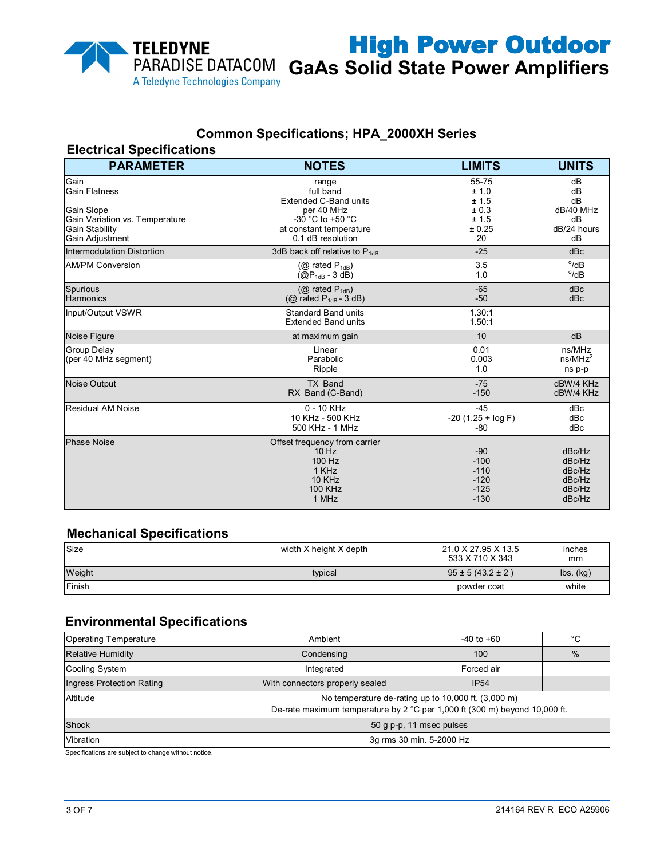

# High Power Outdoor **GaAs Solid State Power Amplifiers**

# **Common Specifications; HPA\_2000XH Series**

#### **Electrical Specifications**

| <b>PARAMETER</b>                                                                                                         | <b>NOTES</b>                                                                                                                                                                                      | <b>LIMITS</b>                                           | <b>UNITS</b>                                             |  |
|--------------------------------------------------------------------------------------------------------------------------|---------------------------------------------------------------------------------------------------------------------------------------------------------------------------------------------------|---------------------------------------------------------|----------------------------------------------------------|--|
| Gain<br><b>Gain Flatness</b><br>Gain Slope<br>Gain Variation vs. Temperature<br><b>Gain Stability</b><br>Gain Adjustment | 55-75<br>range<br>full band<br>± 1.0<br><b>Extended C-Band units</b><br>± 1.5<br>± 0.3<br>per 40 MHz<br>± 1.5<br>-30 °C to +50 °C<br>± 0.25<br>at constant temperature<br>0.1 dB resolution<br>20 |                                                         | dB<br>dB<br>dB<br>dB/40 MHz<br>dB<br>dB/24 hours<br>dB   |  |
| Intermodulation Distortion                                                                                               | 3dB back off relative to $P_{1dB}$                                                                                                                                                                | $-25$                                                   | dBc                                                      |  |
| <b>AM/PM Conversion</b>                                                                                                  | $(Q)$ rated $P_{1dB}$ )<br>$(QP_{1dB} - 3 dB)$                                                                                                                                                    | 3.5<br>1.0                                              | $^{\circ}$ /dB<br>$^{\circ}$ /dB                         |  |
| Spurious<br><b>Harmonics</b>                                                                                             | ( $@$ rated $P_{1dB}$ )<br>( $@$ rated $P_{1dB} - 3 dB$ )                                                                                                                                         | $-65$<br>$-50$                                          | dBc<br>dBc                                               |  |
| Input/Output VSWR                                                                                                        | <b>Standard Band units</b><br><b>Extended Band units</b>                                                                                                                                          | 1.30:1<br>1.50:1                                        |                                                          |  |
| Noise Figure                                                                                                             | at maximum gain                                                                                                                                                                                   | 10                                                      | dB                                                       |  |
| <b>Group Delay</b><br>(per 40 MHz segment)                                                                               | Linear<br>Parabolic<br>Ripple                                                                                                                                                                     | 0.01<br>0.003<br>1.0                                    | ns/MHz<br>ns/MHz <sup>2</sup><br>ns p-p                  |  |
| Noise Output                                                                                                             | TX Band<br>RX Band (C-Band)                                                                                                                                                                       | $-75$<br>$-150$                                         | dBW/4 KHz<br>dBW/4 KHz                                   |  |
| <b>Residual AM Noise</b>                                                                                                 | $0 - 10$ KHz<br>10 KHz - 500 KHz<br>500 KHz - 1 MHz                                                                                                                                               | $-45$<br>$-20$ (1.25 + log F)<br>-80                    | dBc<br>dBc<br>dBc                                        |  |
| <b>Phase Noise</b>                                                                                                       | Offset frequency from carrier<br>$10$ Hz<br>100 Hz<br>1 KHz<br><b>10 KHz</b><br><b>100 KHz</b><br>1 MHz                                                                                           | $-90$<br>$-100$<br>$-110$<br>$-120$<br>$-125$<br>$-130$ | dBc/Hz<br>dBc/Hz<br>dBc/Hz<br>dBc/Hz<br>dBc/Hz<br>dBc/Hz |  |

#### **Mechanical Specifications**

| Size   | width X height X depth | 21.0 X 27.95 X 13.5<br>533 X 710 X 343 | inches<br>mm                            |
|--------|------------------------|----------------------------------------|-----------------------------------------|
| Weight | typical                | $95 \pm 5 (43.2 \pm 2)$                | $\mathsf{lbs.}\left(\mathsf{kg}\right)$ |
| Finish |                        | powder coat                            | white                                   |

# **Environmental Specifications**

| <b>Operating Temperature</b> | Ambient<br>$-40$ to $+60$                                                                                                         |                  | °C            |  |
|------------------------------|-----------------------------------------------------------------------------------------------------------------------------------|------------------|---------------|--|
| <b>Relative Humidity</b>     | Condensing<br>100                                                                                                                 |                  | $\frac{9}{6}$ |  |
| <b>Cooling System</b>        | Forced air<br>Integrated                                                                                                          |                  |               |  |
| Ingress Protection Rating    | With connectors properly sealed                                                                                                   | IP <sub>54</sub> |               |  |
| Altitude                     | No temperature de-rating up to 10,000 ft. (3,000 m)<br>De-rate maximum temperature by 2 °C per 1,000 ft (300 m) beyond 10,000 ft. |                  |               |  |
| Shock                        | 50 g p-p, 11 msec pulses                                                                                                          |                  |               |  |
| Vibration                    | 3q rms 30 min. 5-2000 Hz                                                                                                          |                  |               |  |

Specifications are subject to change without notice.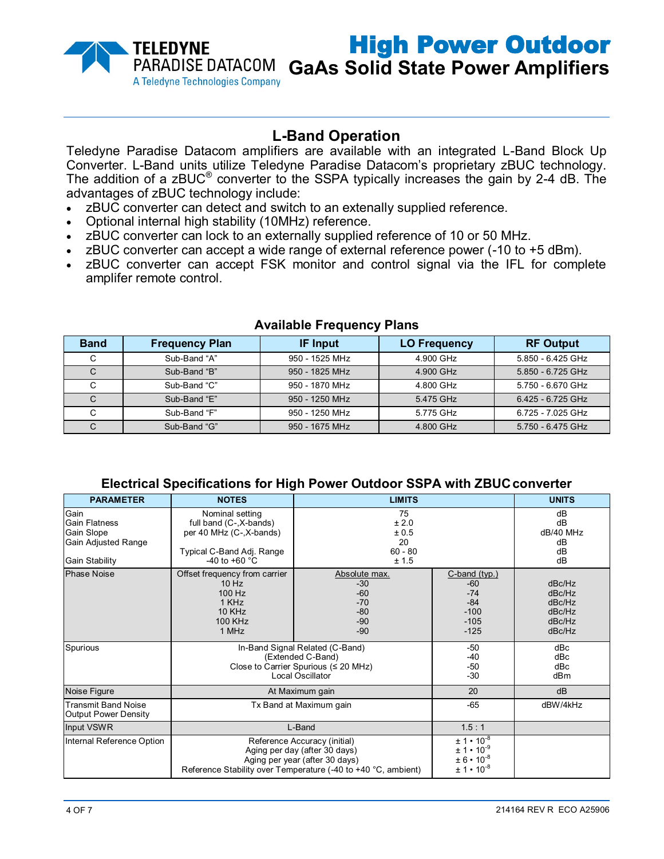

**GaAs Solid State Power Amplifiers**

# **L-Band Operation**

Teledyne Paradise Datacom amplifiers are available with an integrated L-Band Block Up Converter. L-Band units utilize Teledyne Paradise Datacom's proprietary zBUC technology. The addition of a zBUC® converter to the SSPA typically increases the gain by 2-4 dB. The advantages of zBUC technology include:

- zBUC converter can detect and switch to an extenally supplied reference.
- Optional internal high stability (10MHz) reference.
- zBUC converter can lock to an externally supplied reference of 10 or 50 MHz.
- zBUC converter can accept a wide range of external reference power (-10 to +5 dBm).
- zBUC converter can accept FSK monitor and control signal via the IFL for complete amplifer remote control.

| <b>Band</b> | <b>Frequency Plan</b> | <b>IF Input</b> | <b>LO Frequency</b> | <b>RF Output</b>  |
|-------------|-----------------------|-----------------|---------------------|-------------------|
| C           | Sub-Band "A"          | 950 - 1525 MHz  | 4.900 GHz           | 5.850 - 6.425 GHz |
| С           | Sub-Band "B"          | 950 - 1825 MHz  | 4.900 GHz           | 5.850 - 6.725 GHz |
| С           | Sub-Band "C"          | 950 - 1870 MHz  | 4.800 GHz           | 5.750 - 6.670 GHz |
| C           | Sub-Band "E"          | 950 - 1250 MHz  | 5.475 GHz           | 6.425 - 6.725 GHz |
| C           | Sub-Band "F"          | 950 - 1250 MHz  | 5.775 GHz           | 6.725 - 7.025 GHz |
| С           | Sub-Band "G"          | 950 - 1675 MHz  | 4.800 GHz           | 5.750 - 6.475 GHz |

#### **Available Frequency Plans**

#### **Electrical Specifications for High Power Outdoor SSPA with ZBUCconverter**

| <b>PARAMETER</b>                                                             | <b>NOTES</b>                                                                                                                                                     | <b>LIMITS</b>                                                       |                                                                                            | <b>UNITS</b>                                             |
|------------------------------------------------------------------------------|------------------------------------------------------------------------------------------------------------------------------------------------------------------|---------------------------------------------------------------------|--------------------------------------------------------------------------------------------|----------------------------------------------------------|
| Gain<br>Gain Flatness<br>Gain Slope<br>Gain Adjusted Range<br>Gain Stability | Nominal setting<br>full band (C-, X-bands)<br>per 40 MHz (C-, X-bands)<br>Typical C-Band Adj. Range<br>-40 to +60 $^{\circ}$ C                                   | 75<br>± 2.0<br>± 0.5<br>20<br>$60 - 80$<br>± 1.5                    |                                                                                            | dB<br>dB<br>dB/40 MHz<br>dB<br>dB<br>dB                  |
| <b>Phase Noise</b>                                                           | Offset frequency from carrier<br>$10$ Hz<br>100 Hz<br>1 KHz<br><b>10 KHz</b><br>100 KHz<br>1 MHz                                                                 | Absolute max.<br>$-30$<br>$-60$<br>$-70$<br>$-80$<br>$-90$<br>$-90$ | $C$ -band (typ.)<br>$-60$<br>$-74$<br>$-84$<br>$-100$<br>$-105$<br>$-125$                  | dBc/Hz<br>dBc/Hz<br>dBc/Hz<br>dBc/Hz<br>dBc/Hz<br>dBc/Hz |
| Spurious                                                                     | In-Band Signal Related (C-Band)<br>(Extended C-Band)<br>Close to Carrier Spurious ( $\leq 20$ MHz)<br>Local Oscillator                                           |                                                                     | $-50$<br>$-40$<br>$-50$<br>$-30$                                                           | dBc<br>dBc<br>dBc<br>dB <sub>m</sub>                     |
| Noise Figure                                                                 | At Maximum gain                                                                                                                                                  |                                                                     | 20                                                                                         | dB                                                       |
| <b>Transmit Band Noise</b><br><b>Output Power Density</b>                    | Tx Band at Maximum gain                                                                                                                                          |                                                                     | $-65$                                                                                      | dBW/4kHz                                                 |
| Input VSWR                                                                   | L-Band                                                                                                                                                           |                                                                     | 1.5:1                                                                                      |                                                          |
| Internal Reference Option                                                    | Reference Accuracy (initial)<br>Aging per day (after 30 days)<br>Aging per year (after 30 days)<br>Reference Stability over Temperature (-40 to +40 °C, ambient) |                                                                     | $\pm 1 \cdot 10^{-8}$<br>$\pm 1 \cdot 10^{-9}$<br>$± 6 • 10^{-8}$<br>$\pm 1 \cdot 10^{-8}$ |                                                          |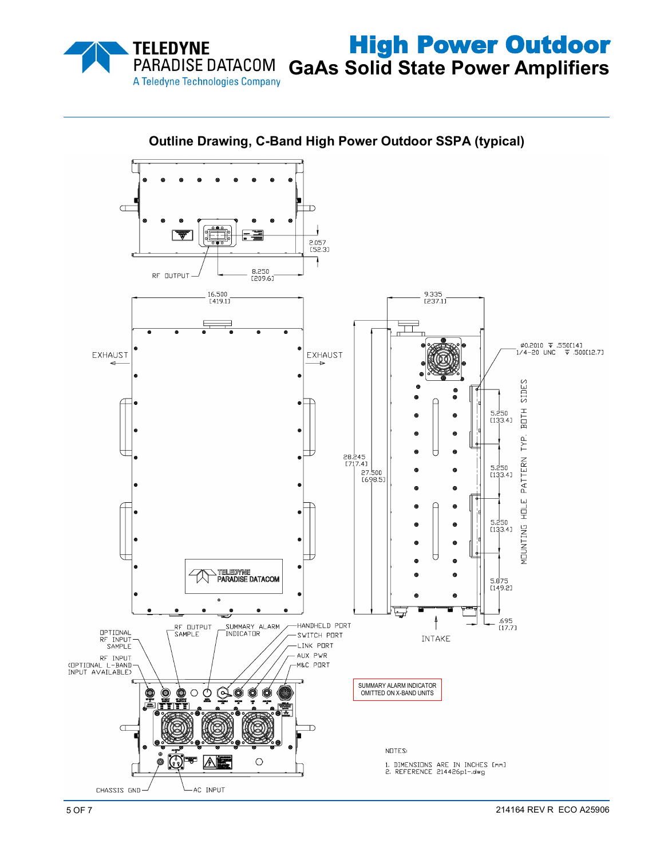

High Power Outdoor **GaAs Solid State Power Amplifiers**



**Outline Drawing, C-Band High Power Outdoor SSPA (typical)**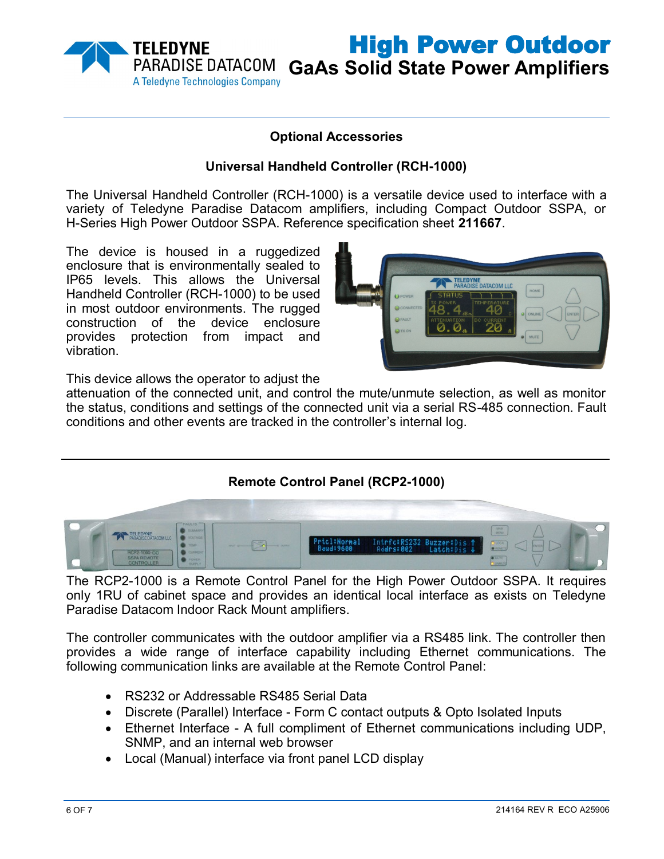

# **Optional Accessories**

#### **Universal Handheld Controller (RCH-1000)**

The Universal Handheld Controller (RCH-1000) is a versatile device used to interface with a variety of Teledyne Paradise Datacom amplifiers, including Compact Outdoor SSPA, or H-Series High Power Outdoor SSPA. Reference specification sheet **211667**.

The device is housed in a ruggedized enclosure that is environmentally sealed to IP65 levels. This allows the Universal Handheld Controller (RCH-1000) to be used in most outdoor environments. The rugged construction of the device enclosure provides protection from impact and vibration.



High Power Outdoor

This device allows the operator to adjust the

attenuation of the connected unit, and control the mute/unmute selection, as well as monitor the status, conditions and settings of the connected unit via a serial RS-485 connection. Fault conditions and other events are tracked in the controller's internal log.

### **Remote Control Panel (RCP2-1000)**



The RCP2-1000 is a Remote Control Panel for the High Power Outdoor SSPA. It requires only 1RU of cabinet space and provides an identical local interface as exists on Teledyne Paradise Datacom Indoor Rack Mount amplifiers.

The controller communicates with the outdoor amplifier via a RS485 link. The controller then provides a wide range of interface capability including Ethernet communications. The following communication links are available at the Remote Control Panel:

- RS232 or Addressable RS485 Serial Data
- Discrete (Parallel) Interface Form C contact outputs & Opto Isolated Inputs
- Ethernet Interface A full compliment of Ethernet communications including UDP, SNMP, and an internal web browser
- Local (Manual) interface via front panel LCD display